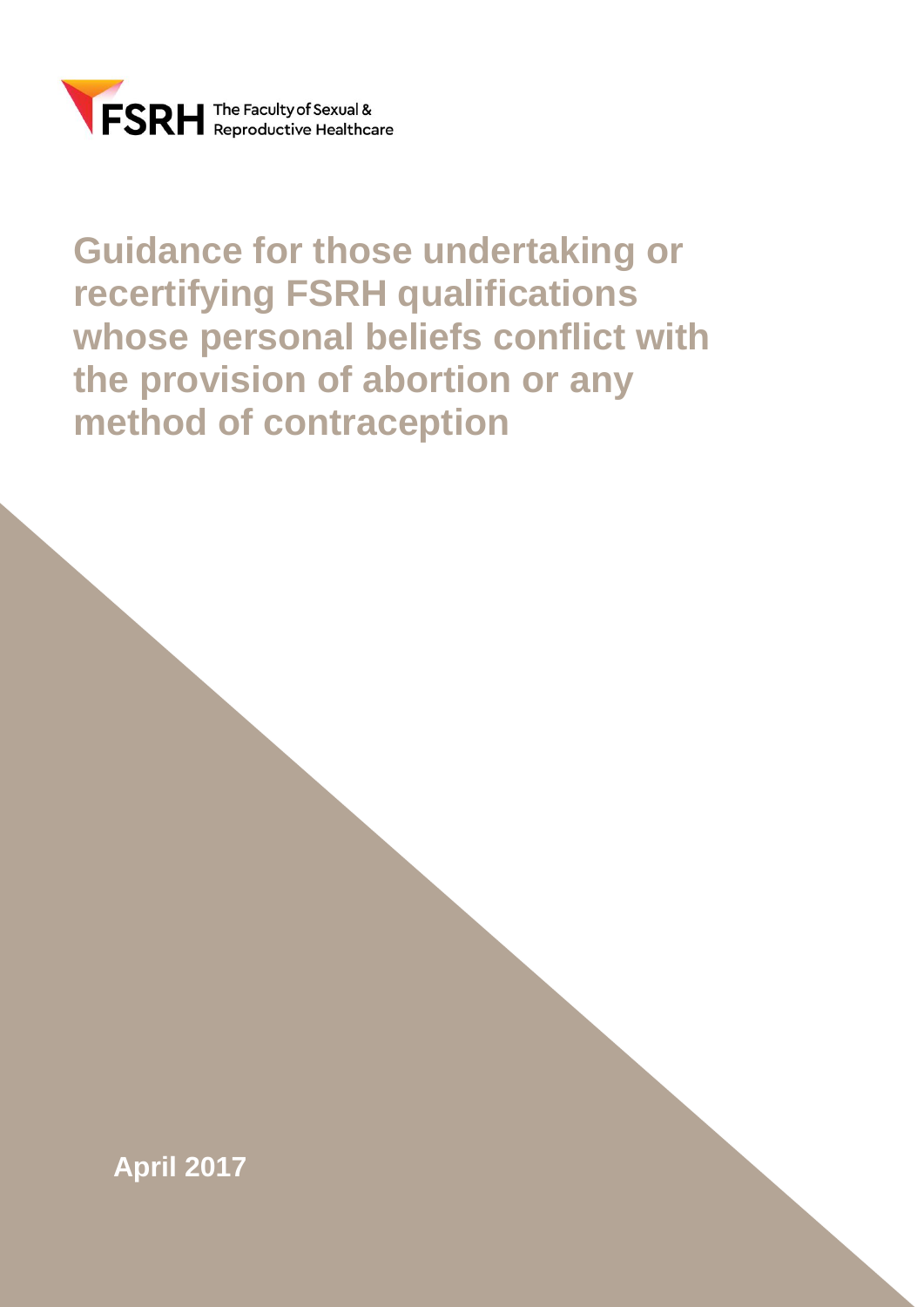

# **Guidance for those undertaking or recertifying FSRH qualifications whose personal beliefs conflict with the provision of abortion or any method of contraception**

**April 2017**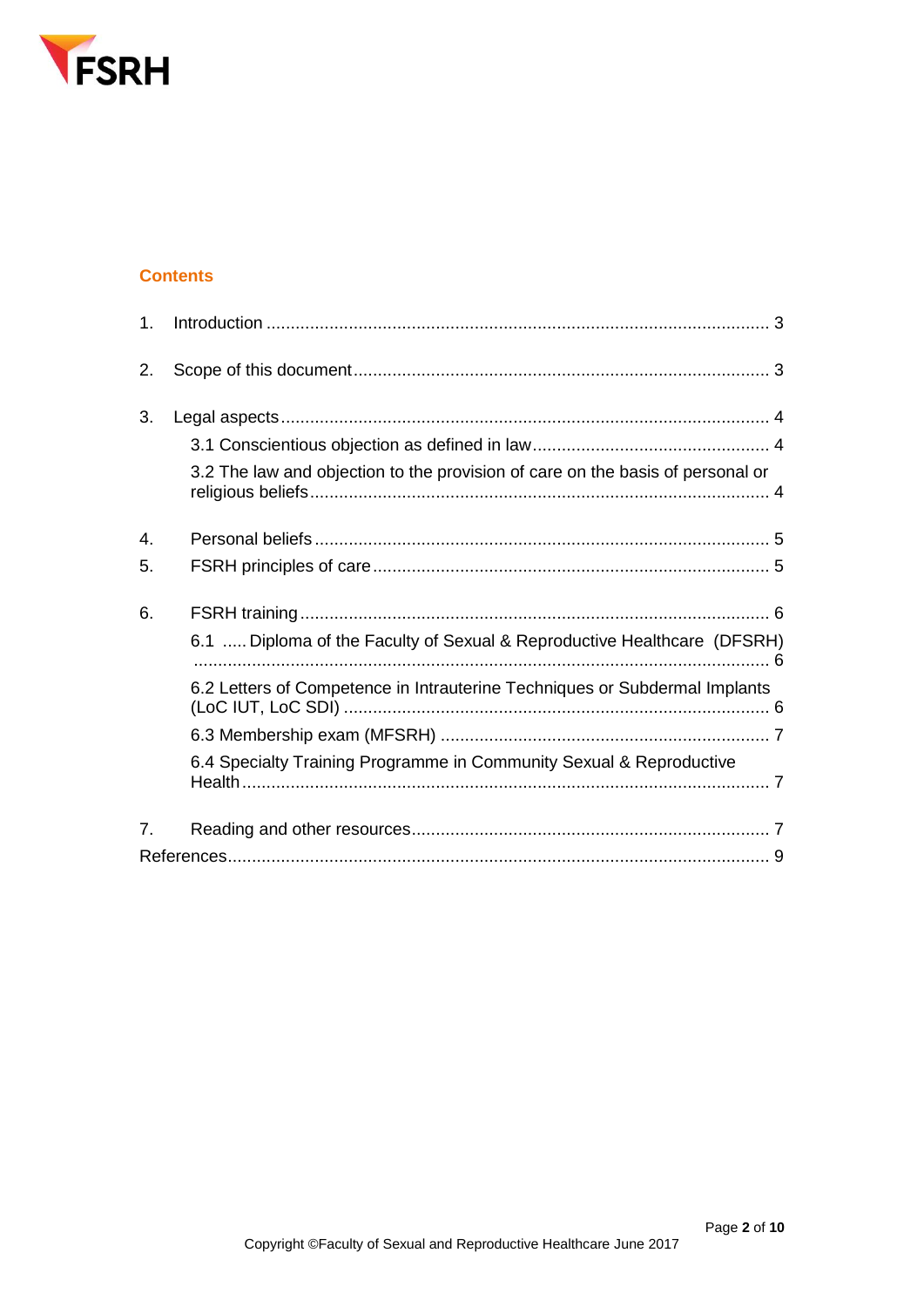

## **Contents**

| 1 <sub>1</sub>   |                                                                                |
|------------------|--------------------------------------------------------------------------------|
| 2.               |                                                                                |
| 3.               |                                                                                |
|                  |                                                                                |
|                  | 3.2 The law and objection to the provision of care on the basis of personal or |
| $\overline{4}$ . |                                                                                |
| 5.               |                                                                                |
| 6.               |                                                                                |
|                  | 6.1  Diploma of the Faculty of Sexual & Reproductive Healthcare (DFSRH)        |
|                  | 6.2 Letters of Competence in Intrauterine Techniques or Subdermal Implants     |
|                  |                                                                                |
|                  | 6.4 Specialty Training Programme in Community Sexual & Reproductive            |
| 7 <sub>1</sub>   |                                                                                |
|                  |                                                                                |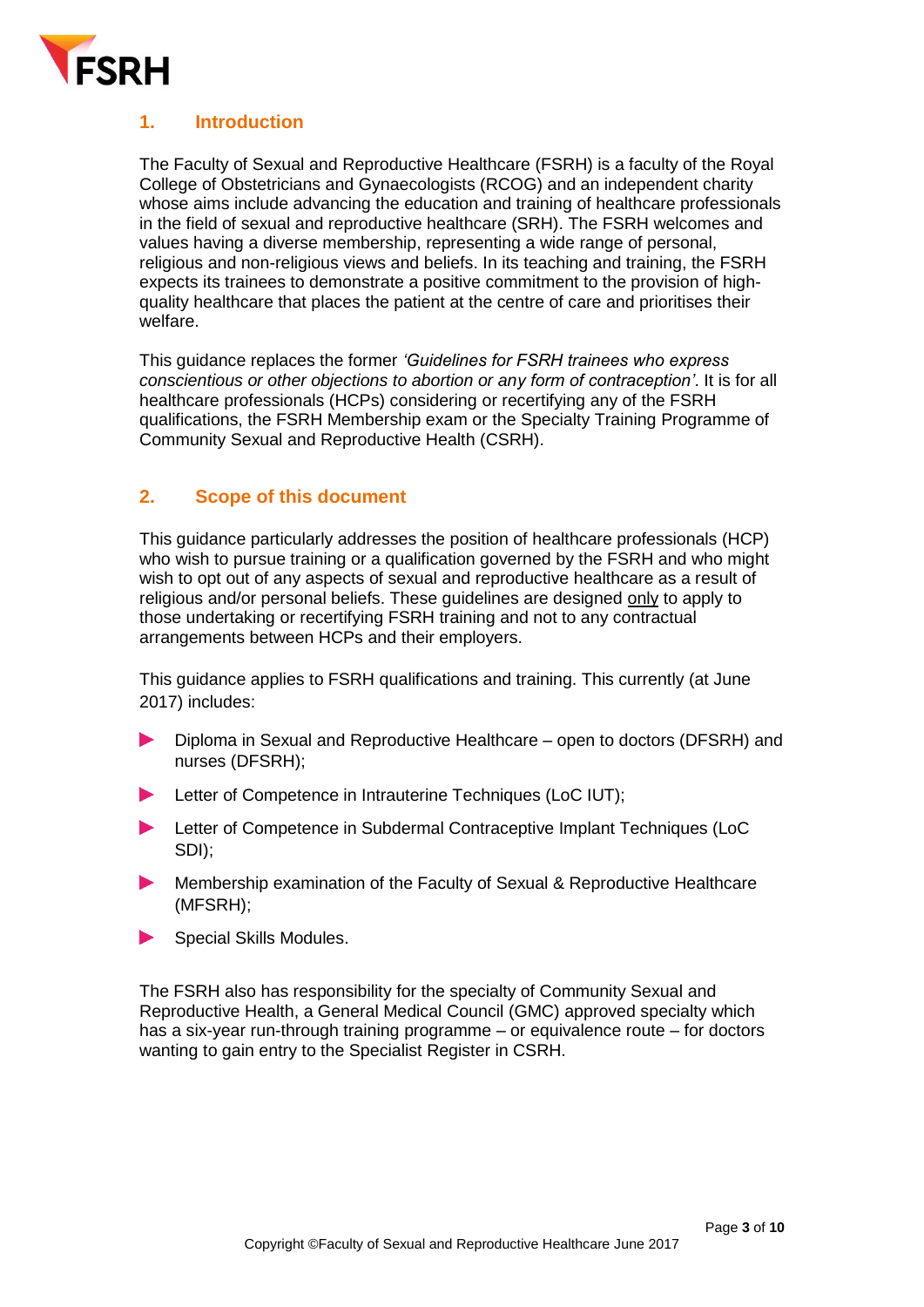

# <span id="page-2-0"></span>**1. Introduction**

The Faculty of Sexual and Reproductive Healthcare (FSRH) is a faculty of the Royal College of Obstetricians and Gynaecologists (RCOG) and an independent charity whose aims include advancing the education and training of healthcare professionals in the field of sexual and reproductive healthcare (SRH). The FSRH welcomes and values having a diverse membership, representing a wide range of personal, religious and non-religious views and beliefs. In its teaching and training, the FSRH expects its trainees to demonstrate a positive commitment to the provision of highquality healthcare that places the patient at the centre of care and prioritises their welfare.

This guidance replaces the former *'Guidelines for FSRH trainees who express conscientious or other objections to abortion or any form of contraception'*. It is for all healthcare professionals (HCPs) considering or recertifying any of the FSRH qualifications, the FSRH Membership exam or the Specialty Training Programme of Community Sexual and Reproductive Health (CSRH).

#### <span id="page-2-1"></span>**2. Scope of this document**

This guidance particularly addresses the position of healthcare professionals (HCP) who wish to pursue training or a qualification governed by the FSRH and who might wish to opt out of any aspects of sexual and reproductive healthcare as a result of religious and/or personal beliefs. These guidelines are designed only to apply to those undertaking or recertifying FSRH training and not to any contractual arrangements between HCPs and their employers.

This guidance applies to FSRH qualifications and training. This currently (at June 2017) includes:

- Diploma in Sexual and Reproductive Healthcare open to doctors (DFSRH) and nurses (DFSRH);
- Letter of Competence in Intrauterine Techniques (LoC IUT);  $\blacktriangleright$  .
- Letter of Competence in Subdermal Contraceptive Implant Techniques (LoC SDI);
- Membership examination of the Faculty of Sexual & Reproductive Healthcare (MFSRH);
- Special Skills Modules.

The FSRH also has responsibility for the specialty of Community Sexual and Reproductive Health, a General Medical Council (GMC) approved specialty which has a six-year run-through training programme – or equivalence route – for doctors wanting to gain entry to the Specialist Register in CSRH.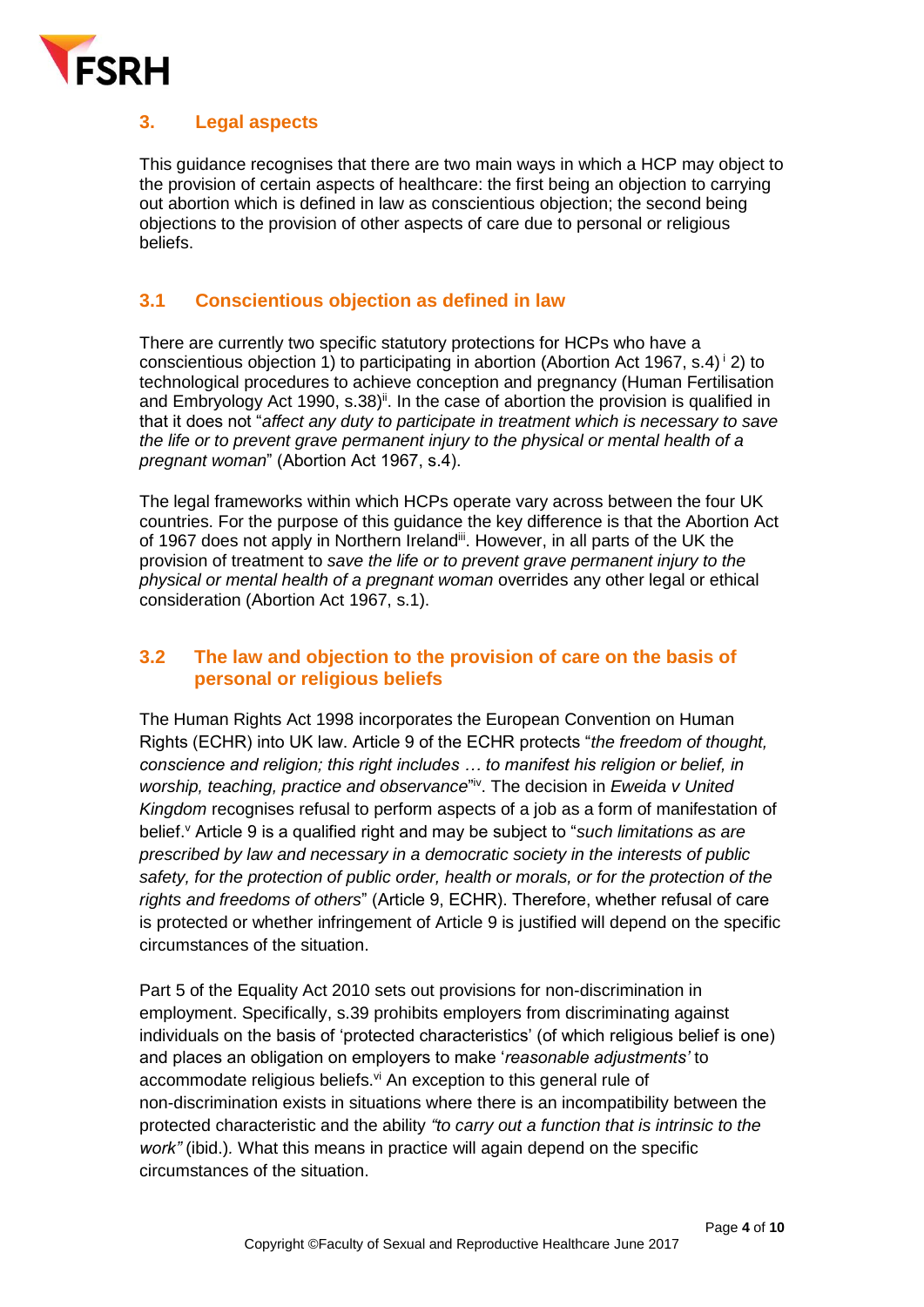

# <span id="page-3-0"></span>**3. Legal aspects**

This guidance recognises that there are two main ways in which a HCP may object to the provision of certain aspects of healthcare: the first being an objection to carrying out abortion which is defined in law as conscientious objection; the second being objections to the provision of other aspects of care due to personal or religious beliefs.

## <span id="page-3-1"></span>**3.1 Conscientious objection as defined in law**

There are currently two specific statutory protections for HCPs who have a conscientious objection 1) to participating in abortion (Abortion Act 1967, s.4)  $\dot{ }$  2) to technological procedures to achieve conception and pregnancy (Human Fertilisation and Embryology Act 1990, s.38)<sup>ii</sup>. In the case of abortion the provision is qualified in that it does not "*affect any duty to participate in treatment which is necessary to save the life or to prevent grave permanent injury to the physical or mental health of a pregnant woman*" (Abortion Act 1967, s.4).

The legal frameworks within which HCPs operate vary across between the four UK countries. For the purpose of this guidance the key difference is that the Abortion Act of 1967 does not apply in Northern Ireland<sup>iii</sup>. However, in all parts of the UK the provision of treatment to *save the life or to prevent grave permanent injury to the physical or mental health of a pregnant woman* overrides any other legal or ethical consideration (Abortion Act 1967, s.1).

## <span id="page-3-2"></span>**3.2 The law and objection to the provision of care on the basis of personal or religious beliefs**

The Human Rights Act 1998 incorporates the European Convention on Human Rights (ECHR) into UK law. Article 9 of the ECHR protects "*the freedom of thought, conscience and religion; this right includes … to manifest his religion or belief, in*  worship, teaching, practice and observance"<sup>iv</sup>. The decision in *Eweida v United Kingdom* recognises refusal to perform aspects of a job as a form of manifestation of belief.<sup>v</sup> Article 9 is a qualified right and may be subject to "*such limitations as are prescribed by law and necessary in a democratic society in the interests of public safety, for the protection of public order, health or morals, or for the protection of the rights and freedoms of others*" (Article 9, ECHR). Therefore, whether refusal of care is protected or whether infringement of Article 9 is justified will depend on the specific circumstances of the situation.

Part 5 of the Equality Act 2010 sets out provisions for non-discrimination in employment. Specifically, s.39 prohibits employers from discriminating against individuals on the basis of 'protected characteristics' (of which religious belief is one) and places an obligation on employers to make '*reasonable adjustments'* to accommodate religious beliefs. $vi$  An exception to this general rule of non-discrimination exists in situations where there is an incompatibility between the protected characteristic and the ability *"to carry out a function that is intrinsic to the work"* (ibid.)*.* What this means in practice will again depend on the specific circumstances of the situation.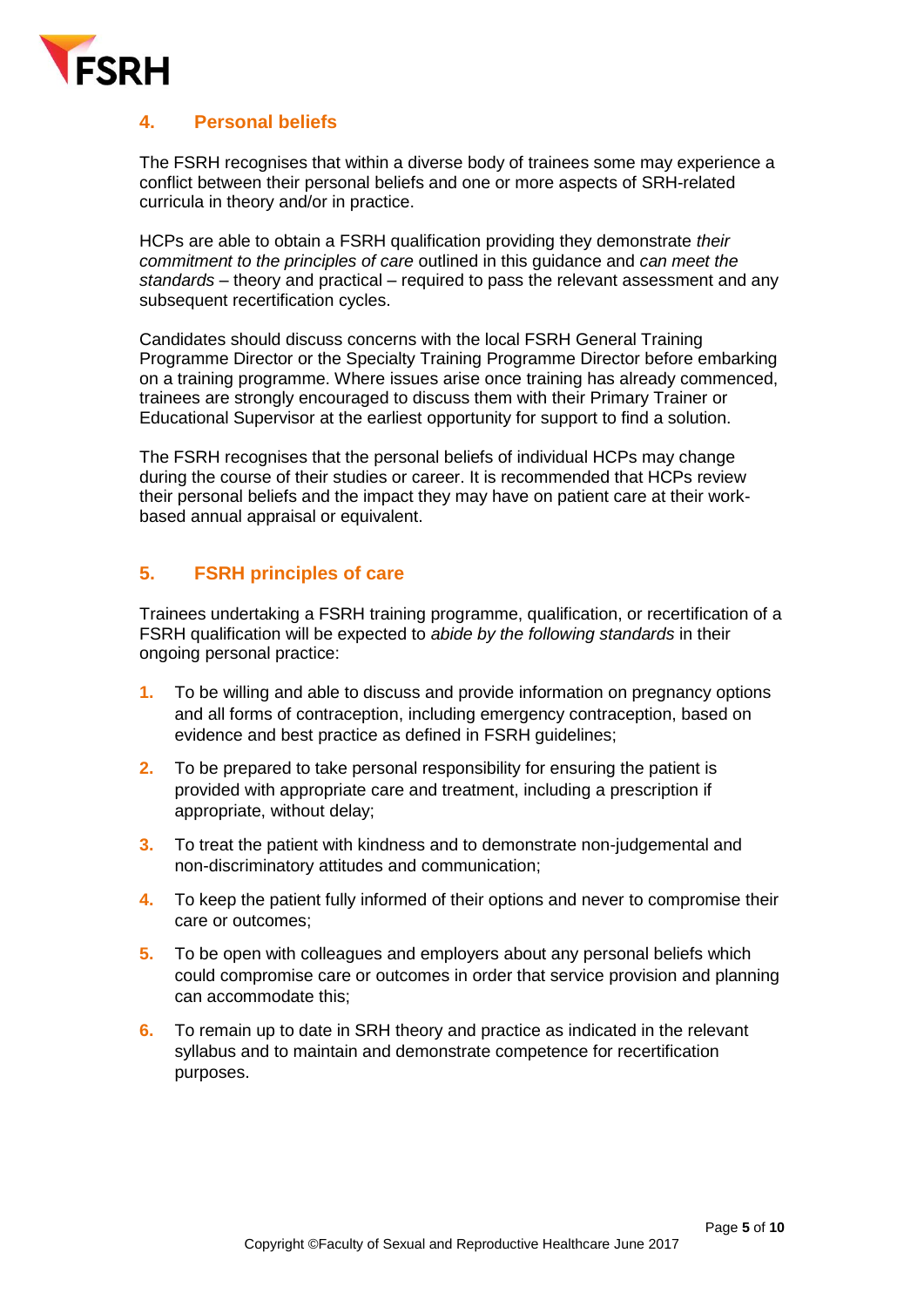

## <span id="page-4-0"></span>**4. Personal beliefs**

The FSRH recognises that within a diverse body of trainees some may experience a conflict between their personal beliefs and one or more aspects of SRH-related curricula in theory and/or in practice.

HCPs are able to obtain a FSRH qualification providing they demonstrate *their commitment to the principles of care* outlined in this guidance and *can meet the standards* – theory and practical – required to pass the relevant assessment and any subsequent recertification cycles.

Candidates should discuss concerns with the local FSRH General Training Programme Director or the Specialty Training Programme Director before embarking on a training programme. Where issues arise once training has already commenced, trainees are strongly encouraged to discuss them with their Primary Trainer or Educational Supervisor at the earliest opportunity for support to find a solution.

The FSRH recognises that the personal beliefs of individual HCPs may change during the course of their studies or career. It is recommended that HCPs review their personal beliefs and the impact they may have on patient care at their workbased annual appraisal or equivalent.

## <span id="page-4-1"></span>**5. FSRH principles of care**

Trainees undertaking a FSRH training programme, qualification, or recertification of a FSRH qualification will be expected to *abide by the following standards* in their ongoing personal practice:

- **1.** To be willing and able to discuss and provide information on pregnancy options and all forms of contraception, including emergency contraception, based on evidence and best practice as defined in FSRH guidelines;
- **2.** To be prepared to take personal responsibility for ensuring the patient is provided with appropriate care and treatment, including a prescription if appropriate, without delay;
- **3.** To treat the patient with kindness and to demonstrate non-judgemental and non-discriminatory attitudes and communication;
- **4.** To keep the patient fully informed of their options and never to compromise their care or outcomes;
- **5.** To be open with colleagues and employers about any personal beliefs which could compromise care or outcomes in order that service provision and planning can accommodate this;
- **6.** To remain up to date in SRH theory and practice as indicated in the relevant syllabus and to maintain and demonstrate competence for recertification purposes.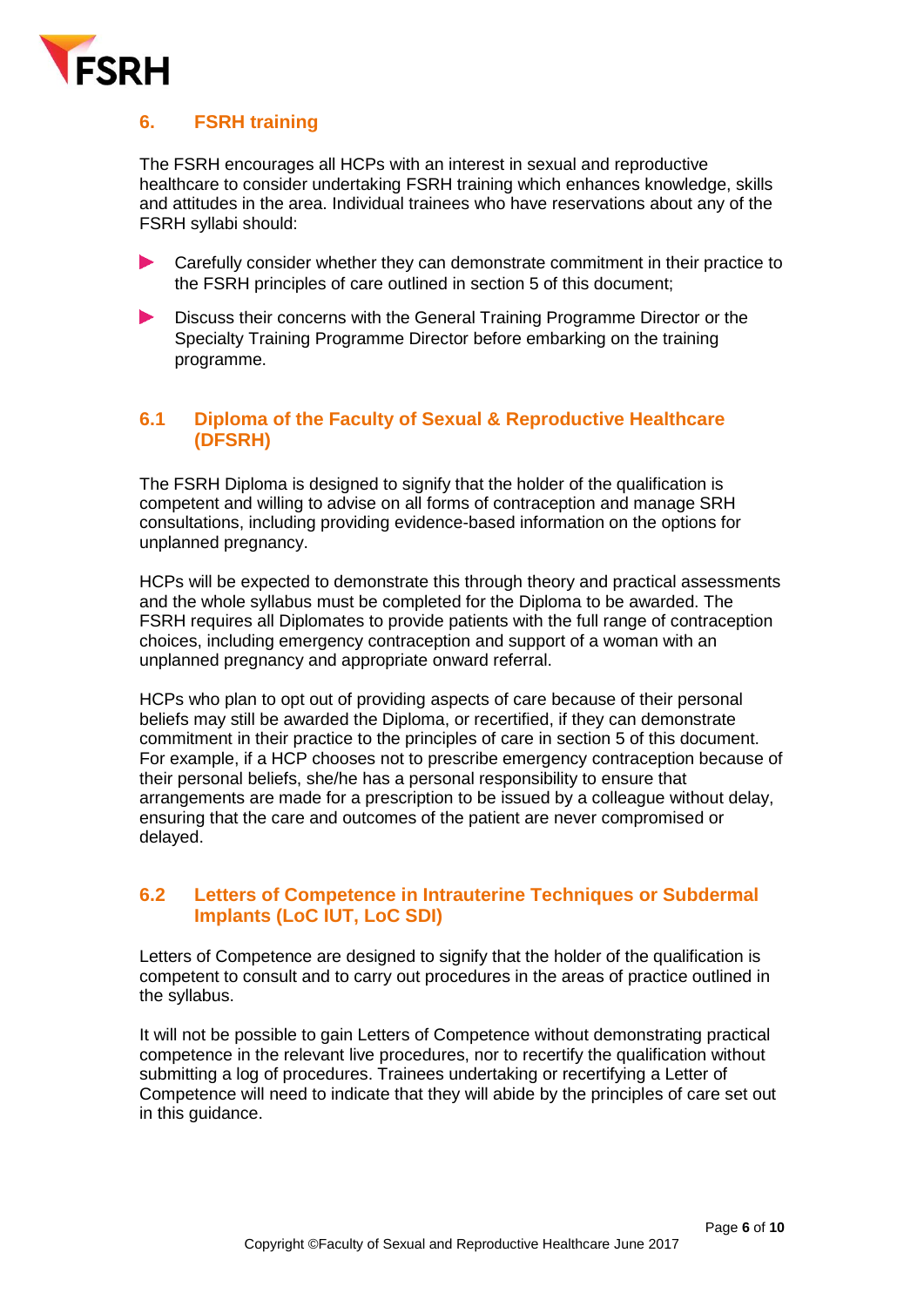

# <span id="page-5-0"></span>**6. FSRH training**

The FSRH encourages all HCPs with an interest in sexual and reproductive healthcare to consider undertaking FSRH training which enhances knowledge, skills and attitudes in the area. Individual trainees who have reservations about any of the FSRH syllabi should:

- Carefully consider whether they can demonstrate commitment in their practice to the FSRH principles of care outlined in section 5 of this document;
- $\blacktriangleright$ Discuss their concerns with the General Training Programme Director or the Specialty Training Programme Director before embarking on the training programme.

## <span id="page-5-1"></span>**6.1 Diploma of the Faculty of Sexual & Reproductive Healthcare [\(DFSRH\)](http://www.fsrh.org/pages/Diploma_of_the_FSRH.asp)**

The FSRH Diploma is designed to signify that the holder of the qualification is competent and willing to advise on all forms of contraception and manage SRH consultations, including providing evidence-based information on the options for unplanned pregnancy.

HCPs will be expected to demonstrate this through theory and practical assessments and the whole syllabus must be completed for the Diploma to be awarded. The FSRH requires all Diplomates to provide patients with the full range of contraception choices, including emergency contraception and support of a woman with an unplanned pregnancy and appropriate onward referral.

HCPs who plan to opt out of providing aspects of care because of their personal beliefs may still be awarded the Diploma, or recertified, if they can demonstrate commitment in their practice to the principles of care in section 5 of this document. For example, if a HCP chooses not to prescribe emergency contraception because of their personal beliefs, she/he has a personal responsibility to ensure that arrangements are made for a prescription to be issued by a colleague without delay, ensuring that the care and outcomes of the patient are never compromised or delayed.

## <span id="page-5-2"></span>**6.2 Letters of Competence in Intrauterine Techniques or Subdermal Implants [\(LoC](http://www.fsrh.org/pages/Letter_of_Competence_IUT.asp) IUT, [LoC](http://www.fsrh.org/pages/Letter_of_Competence_SDI.asp) SDI)**

Letters of Competence are designed to signify that the holder of the qualification is competent to consult and to carry out procedures in the areas of practice outlined in the syllabus.

It will not be possible to gain Letters of Competence without demonstrating practical competence in the relevant live procedures, nor to recertify the qualification without submitting a log of procedures. Trainees undertaking or recertifying a Letter of Competence will need to indicate that they will abide by the principles of care set out in this guidance.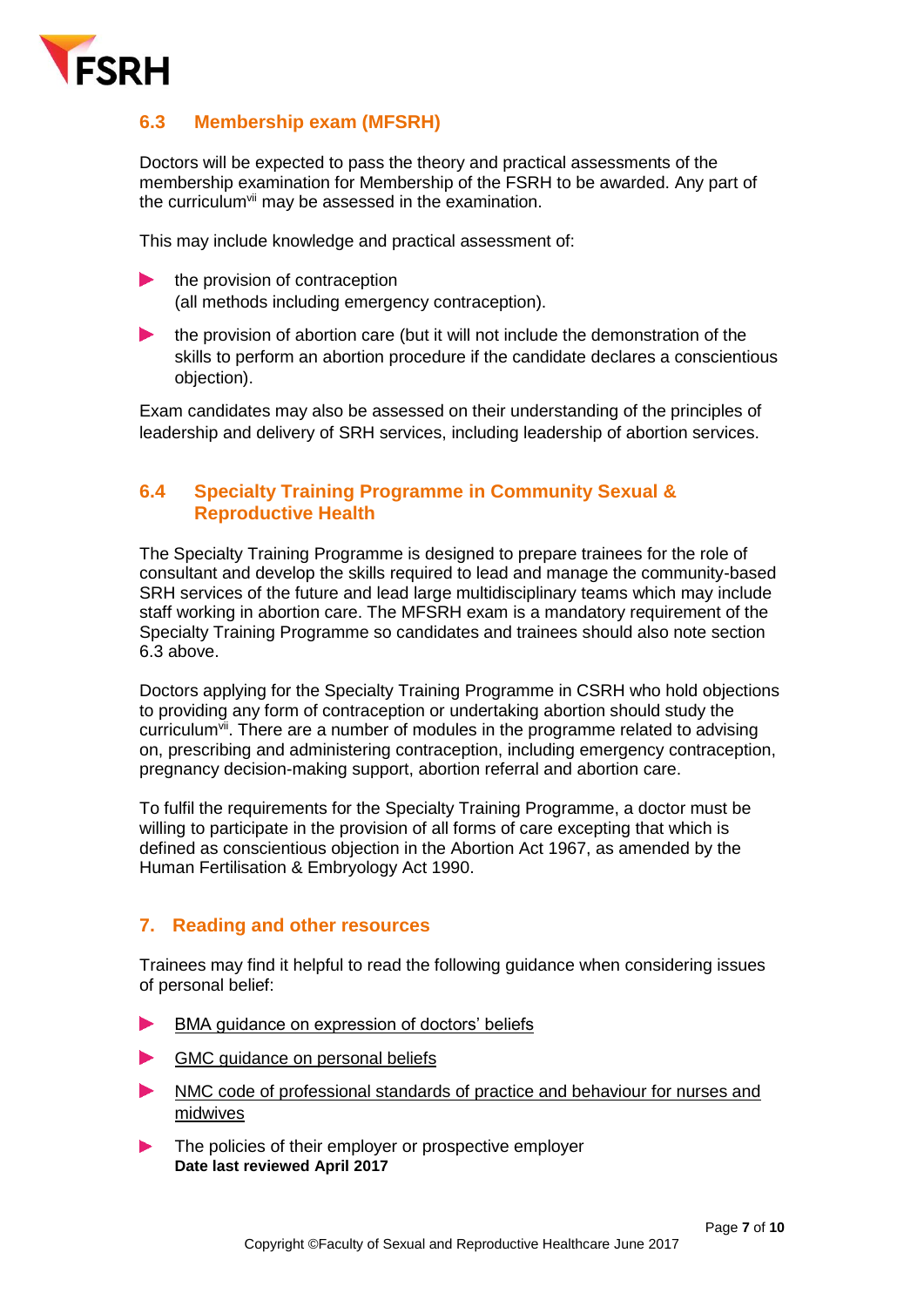

## <span id="page-6-0"></span>**6.3 Membership exam [\(MFSRH\)](http://www.fsrh.org/pages/membership_categories.asp)**

Doctors will be expected to pass the theory and practical assessments of the membership examination for Membership of the FSRH to be awarded. Any part of the curriculum<sup>vii</sup> may be assessed in the examination.

This may include knowledge and practical assessment of:

- the provision of contraception  $\blacktriangleright$ (all methods including emergency contraception).
- the provision of abortion care (but it will not include the demonstration of the skills to perform an abortion procedure if the candidate declares a conscientious objection).

Exam candidates may also be assessed on their understanding of the principles of leadership and delivery of SRH services, including leadership of abortion services.

#### <span id="page-6-1"></span>**6.4 [Specialty Training Programme](http://www.fsrh.org/pages/specialty.asp) in Community Sexual & Reproductive Health**

The Specialty Training Programme is designed to prepare trainees for the role of consultant and develop the skills required to lead and manage the community-based SRH services of the future and lead large multidisciplinary teams which may include staff working in abortion care. The MFSRH exam is a mandatory requirement of the Specialty Training Programme so candidates and trainees should also note section 6.3 above.

Doctors applying for the Specialty Training Programme in CSRH who hold objections to providing any form of contraception or undertaking abortion should study the curriculum<sup>vii</sup>. There are a number of modules in the programme related to advising on, prescribing and administering contraception, including emergency contraception, pregnancy decision-making support, abortion referral and abortion care.

To fulfil the requirements for the Specialty Training Programme, a doctor must be willing to participate in the provision of all forms of care excepting that which is defined as conscientious objection in the Abortion Act 1967, as amended by the Human Fertilisation & Embryology Act 1990.

## <span id="page-6-2"></span>**7. Reading and other resources**

Trainees may find it helpful to read the following guidance when considering issues of personal belief:

- [BMA guidance on expression of doctors' beliefs](http://bma.org.uk/support-at-work/ethics/expressions-of-doctors-beliefs)
- [GMC guidance on personal beliefs](http://www.gmc-uk.org/guidance/ethical_guidance/21171.asp)
- [NMC code of professional standards of practice and behaviour for nurses and](http://www.nmc.org.uk/globalassets/sitedocuments/nmc-publications/revised-new-nmc-code.pdf)  [midwives](http://www.nmc.org.uk/globalassets/sitedocuments/nmc-publications/revised-new-nmc-code.pdf)
- The policies of their employer or prospective employer **Date last reviewed April 2017**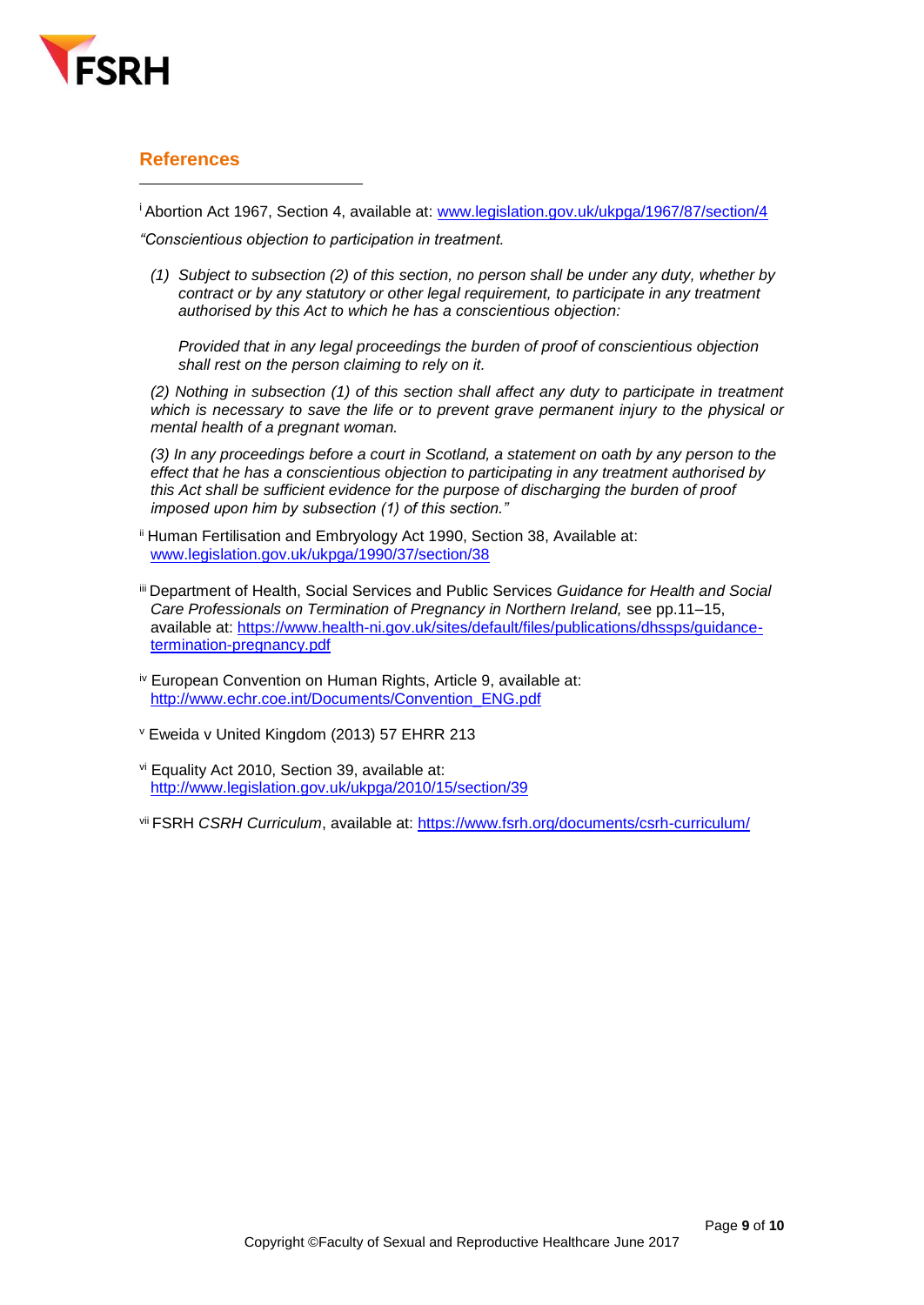

#### <span id="page-8-0"></span>**References**

 $\overline{a}$ 

<sup>i</sup> Abortion Act 1967, Section 4, available at: [www.legislation.gov.uk/ukpga/1967/87/section/4](http://www.legislation.gov.uk/ukpga/1967/87/section/4)

*"Conscientious objection to participation in treatment.*

*(1) Subject to subsection (2) of this section, no person shall be under any duty, whether by contract or by any statutory or other legal requirement, to participate in any treatment authorised by this Act to which he has a conscientious objection:*

*Provided that in any legal proceedings the burden of proof of conscientious objection shall rest on the person claiming to rely on it.*

*(2) Nothing in subsection (1) of this section shall affect any duty to participate in treatment which is necessary to save the life or to prevent grave permanent injury to the physical or mental health of a pregnant woman.*

*(3) In any proceedings before a court in Scotland, a statement on oath by any person to the effect that he has a conscientious objection to participating in any treatment authorised by this Act shall be sufficient evidence for the purpose of discharging the burden of proof imposed upon him by subsection (1) of this section."*

- <sup>ii</sup> Human Fertilisation and Embryology Act 1990, Section 38, Available at: [www.legislation.gov.uk/ukpga/1990/37/section/38](http://www.legislation.gov.uk/ukpga/1990/37/section/38)
- iii Department of Health, Social Services and Public Services *Guidance for Health and Social Care Professionals on Termination of Pregnancy in Northern Ireland,* see pp.11–15, available at: https://www.health-ni.gov.uk/sites/default/files/publications/dhssps/quidance[termination-pregnancy.pdf](https://www.health-ni.gov.uk/sites/default/files/publications/dhssps/guidance-termination-pregnancy.pdf)
- iv European Convention on Human Rights, Article 9, available at: [http://www.echr.coe.int/Documents/Convention\\_ENG.pdf](http://www.echr.coe.int/Documents/Convention_ENG.pdf)
- <sup>v</sup> Eweida v United Kingdom (2013) 57 EHRR 213
- vi Equality Act 2010, Section 39, available at: <http://www.legislation.gov.uk/ukpga/2010/15/section/39>
- vii FSRH *CSRH Curriculum*, available at: <https://www.fsrh.org/documents/csrh-curriculum/>